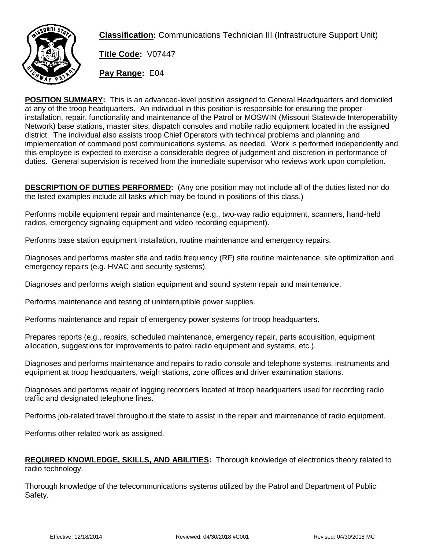

**Classification:** Communications Technician III (Infrastructure Support Unit)

**Title Code:** V07447

**Pay Range:** E04

**POSITION SUMMARY:** This is an advanced-level position assigned to General Headquarters and domiciled at any of the troop headquarters. An individual in this position is responsible for ensuring the proper installation, repair, functionality and maintenance of the Patrol or MOSWIN (Missouri Statewide Interoperability Network) base stations, master sites, dispatch consoles and mobile radio equipment located in the assigned district. The individual also assists troop Chief Operators with technical problems and planning and implementation of command post communications systems, as needed. Work is performed independently and this employee is expected to exercise a considerable degree of judgement and discretion in performance of duties. General supervision is received from the immediate supervisor who reviews work upon completion.

**DESCRIPTION OF DUTIES PERFORMED:** (Any one position may not include all of the duties listed nor do the listed examples include all tasks which may be found in positions of this class.)

Performs mobile equipment repair and maintenance (e.g., two-way radio equipment, scanners, hand-held radios, emergency signaling equipment and video recording equipment).

Performs base station equipment installation, routine maintenance and emergency repairs.

Diagnoses and performs master site and radio frequency (RF) site routine maintenance, site optimization and emergency repairs (e.g. HVAC and security systems).

Diagnoses and performs weigh station equipment and sound system repair and maintenance.

Performs maintenance and testing of uninterruptible power supplies.

Performs maintenance and repair of emergency power systems for troop headquarters.

Prepares reports (e.g., repairs, scheduled maintenance, emergency repair, parts acquisition, equipment allocation, suggestions for improvements to patrol radio equipment and systems, etc.).

Diagnoses and performs maintenance and repairs to radio console and telephone systems, instruments and equipment at troop headquarters, weigh stations, zone offices and driver examination stations.

Diagnoses and performs repair of logging recorders located at troop headquarters used for recording radio traffic and designated telephone lines.

Performs job-related travel throughout the state to assist in the repair and maintenance of radio equipment.

Performs other related work as assigned.

## **REQUIRED KNOWLEDGE, SKILLS, AND ABILITIES:** Thorough knowledge of electronics theory related to radio technology.

Thorough knowledge of the telecommunications systems utilized by the Patrol and Department of Public Safety.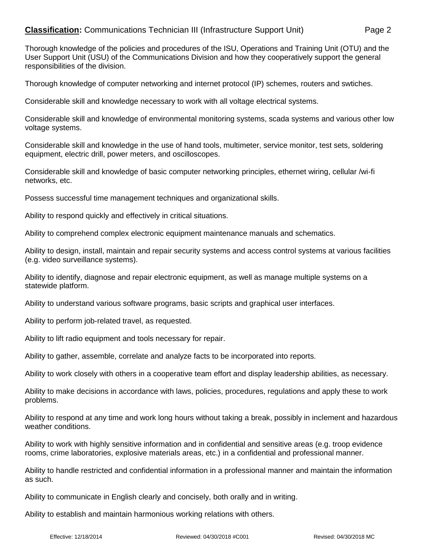## **Classification:** Communications Technician III (Infrastructure Support Unit) Page 2

Thorough knowledge of the policies and procedures of the ISU, Operations and Training Unit (OTU) and the User Support Unit (USU) of the Communications Division and how they cooperatively support the general responsibilities of the division.

Thorough knowledge of computer networking and internet protocol (IP) schemes, routers and swtiches.

Considerable skill and knowledge necessary to work with all voltage electrical systems.

Considerable skill and knowledge of environmental monitoring systems, scada systems and various other low voltage systems.

Considerable skill and knowledge in the use of hand tools, multimeter, service monitor, test sets, soldering equipment, electric drill, power meters, and oscilloscopes.

Considerable skill and knowledge of basic computer networking principles, ethernet wiring, cellular /wi-fi networks, etc.

Possess successful time management techniques and organizational skills.

Ability to respond quickly and effectively in critical situations.

Ability to comprehend complex electronic equipment maintenance manuals and schematics.

Ability to design, install, maintain and repair security systems and access control systems at various facilities (e.g. video surveillance systems).

Ability to identify, diagnose and repair electronic equipment, as well as manage multiple systems on a statewide platform.

Ability to understand various software programs, basic scripts and graphical user interfaces.

Ability to perform job-related travel, as requested.

Ability to lift radio equipment and tools necessary for repair.

Ability to gather, assemble, correlate and analyze facts to be incorporated into reports.

Ability to work closely with others in a cooperative team effort and display leadership abilities, as necessary.

Ability to make decisions in accordance with laws, policies, procedures, regulations and apply these to work problems.

Ability to respond at any time and work long hours without taking a break, possibly in inclement and hazardous weather conditions.

Ability to work with highly sensitive information and in confidential and sensitive areas (e.g. troop evidence rooms, crime laboratories, explosive materials areas, etc.) in a confidential and professional manner.

Ability to handle restricted and confidential information in a professional manner and maintain the information as such.

Ability to communicate in English clearly and concisely, both orally and in writing.

Ability to establish and maintain harmonious working relations with others.